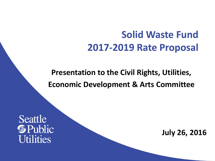## **Solid Waste Fund 2017-2019 Rate Proposal**

**Presentation to the Civil Rights, Utilities, Economic Development & Arts Committee**

Seattle **S** Public **Utilities** 

**July 26, 2016**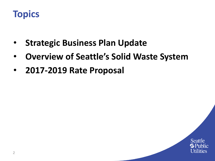

- **Strategic Business Plan Update**
- **Overview of Seattle's Solid Waste System**
- **2017-2019 Rate Proposal**

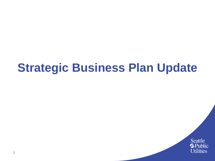# **Strategic Business Plan Update**

Seattle **S**Public **Utilities**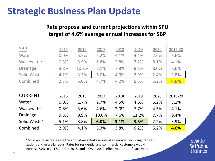### **Strategic Business Plan Update**

#### **Rate proposal and current projections within SPU target of 4.6% average annual increases for SBP**

| <b>SBP</b>      | 2015 | 2016  | 2017  | 2018 | 2019  | 2020 | 2015-20 |
|-----------------|------|-------|-------|------|-------|------|---------|
| Water           | 0.0% | 5.2%  | 5.2%  | 4.1% | 4.4%  | 2.6% | 3.6%    |
| Wastewater      | 0.8% | 3.9%  | 1.8%  | 2.8% | 7.2%  | 8.1% | 4.1%    |
| <b>Drainage</b> | 9.8% | 10.1% | 8.1%  | 7.8% | 8.1%  | 8.0% | 8.6%    |
| Solid Waste     | 4.2% | 3.5%  | 6.0%  | 4.0% | 2.9%  | 2.4% | 3.8%    |
| Combined        | 2.7% | 5.0%  | 4.7%  | 4.2% | 5.5%  | 5.2% | 4.6%    |
|                 |      |       |       |      |       |      |         |
| <b>CURRENT</b>  | 2015 | 2016  | 2017  | 2018 | 2019  | 2020 | 2015-20 |
| Water           | 0.0% | 1.7%  | 2.7%  | 4.5% | 4.6%  | 5.2% | 3.1%    |
| Wastewater      | 0.8% | 3.6%  | 4.6%  | 2.0% | 7.7%  | 4.5% | 4.1%    |
| <b>Drainage</b> | 9.8% | 9.9%  | 10.0% | 7.6% | 11.2% | 7.7% | 9.4%    |
| Solid Waste*    | 5.1% | 3.8%  | 6.0%  | 3.1% | 3.3%  | 2.2% | 3.9%    |
| Combined        |      |       |       |      |       |      |         |

\* Solid waste increases are the annual weighted average of all services including transfer stations and miscellaneous. Rates for residential and commercial customers would increase 7.2% in 2017, 1.9% in 2018, and 4.0% in 2019, effective April 1 of each year.

### Seattle **G** Public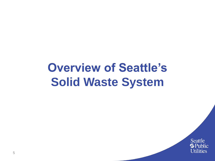# **Overview of Seattle's Solid Waste System**

Seattle **S**Public **Utilities**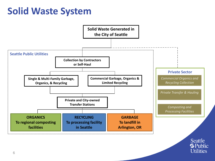### **Solid Waste System**

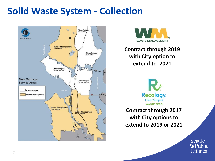### **Solid Waste System - Collection**





**Contract through 2019 with City option to extend to 2021**



**Contract through 2017 with City options to extend to 2019 or 2021**

> Seattle **G** Public **Utilities**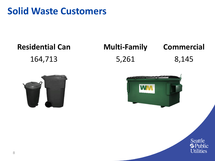### **Solid Waste Customers**

# **Residential Can Multi-Family Commercial** 164,713 5,261 8,145





Seattle **S**Public **Utilities**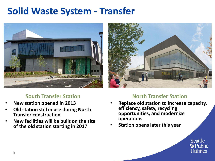### **Solid Waste System - Transfer**





#### **South Transfer Station**

- **New station opened in 2013**
- **Old station still in use during North Transfer construction**
- **New facilities will be built on the site of the old station starting in 2017**

#### **North Transfer Station**

- **Replace old station to increase capacity, efficiency, safety, recycling opportunities, and modernize operations**
- **Station opens later this year**

Seattle **G** Public **Utilities**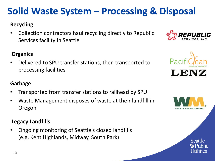• Waste Management disposes of waste at their landfill in Oregon

#### **Legacy Landfills**

• Ongoing monitoring of Seattle's closed landfills (e.g. Kent Highlands, Midway, South Park)

### **Solid Waste System – Processing & Disposal**

#### **Recycling**

• Collection contractors haul recycling directly to Republic Services facility in Seattle

### **Organics**

• Delivered to SPU transfer stations, then transported to processing facilities

### **Garbage** • Transported from transfer stations to railhead by SPU





LENZ

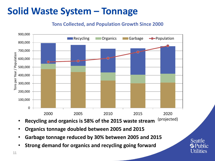### **Solid Waste System – Tonnage**

#### **Tons Collected, and Population Growth Since 2000**



- **Recycling and organics is 58% of the 2015 waste stream** (projected)
- **Organics tonnage doubled between 2005 and 2015**
- **Garbage tonnage reduced by 30% between 2005 and 2015**
- **Strong demand for organics and recycling going forward**

**Seattle G** Public **U**tilities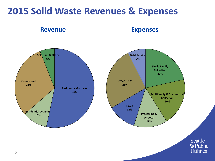### **2015 Solid Waste Revenues & Expenses**

**Revenue Expenses**

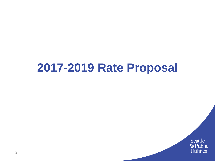# **2017-2019 Rate Proposal**

Seattle **Source**<br> **Utilities**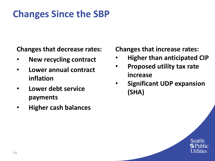### **Changes Since the SBP**

**Changes that decrease rates:**

- **New recycling contract**
- **Lower annual contract inflation**
- **Lower debt service payments**
- **Higher cash balances**

**Changes that increase rates:**

- **Higher than anticipated CIP**
- **Proposed utility tax rate increase**
- **Significant UDP expansion (SHA)**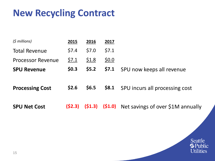### **New Recycling Contract**

| 2015    | 2016    | 2017    |                                           |
|---------|---------|---------|-------------------------------------------|
| \$7.4   | \$7.0   | \$7.1   |                                           |
| \$7.1   | \$1.8   | \$0.0\$ |                                           |
| \$0.3\$ | \$5.2\$ | \$7.1   | SPU now keeps all revenue                 |
|         |         |         |                                           |
| \$2.6   | \$6.5   | \$8.1   | SPU incurs all processing cost            |
|         |         |         |                                           |
| (52.3)  | (51.3)  |         | (\$1.0) Net savings of over \$1M annually |
|         |         |         |                                           |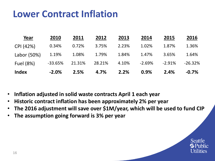### **Lower Contract Inflation**

| Year         | 2010      | 2011   | 2012   | 2013  | 2014     | 2015     | 2016      |
|--------------|-----------|--------|--------|-------|----------|----------|-----------|
| CPI (42%)    | 0.34%     | 0.72%  | 3.75%  | 2.23% | 1.02%    | 1.87%    | 1.36%     |
| Labor (50%)  | 1.19%     | 1.08%  | 1.79%  | 1.84% | 1.47%    | 3.65%    | 1.64%     |
| Fuel (8%)    | $-33.65%$ | 21.31% | 28.21% | 4.10% | $-2.69%$ | $-2.91%$ | $-26.32%$ |
| <b>Index</b> | $-2.0%$   | 2.5%   | 4.7%   | 2.2%  | 0.9%     | 2.4%     | $-0.7\%$  |

- **Inflation adjusted in solid waste contracts April 1 each year**
- **Historic contract inflation has been approximately 2% per year**
- **The 2016 adjustment will save over \$1M/year, which will be used to fund CIP**
- **The assumption going forward is 3% per year**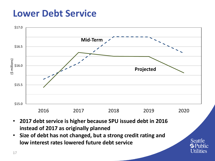### **Lower Debt Service**

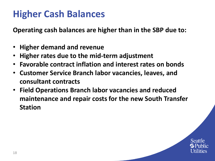### **Higher Cash Balances**

**Operating cash balances are higher than in the SBP due to:**

- **Higher demand and revenue**
- **Higher rates due to the mid-term adjustment**
- **Favorable contract inflation and interest rates on bonds**
- **Customer Service Branch labor vacancies, leaves, and consultant contracts**
- **Field Operations Branch labor vacancies and reduced maintenance and repair costs for the new South Transfer Station**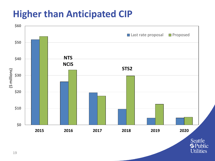### **Higher than Anticipated CIP**

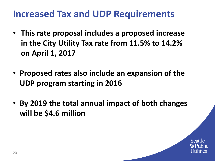### **Increased Tax and UDP Requirements**

- **This rate proposal includes a proposed increase in the City Utility Tax rate from 11.5% to 14.2% on April 1, 2017**
- **Proposed rates also include an expansion of the UDP program starting in 2016**
- **By 2019 the total annual impact of both changes will be \$4.6 million**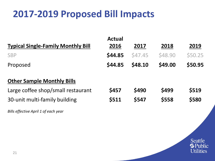### **2017-2019 Proposed Bill Impacts**

|                                           | <b>Actual</b> |               |                |         |
|-------------------------------------------|---------------|---------------|----------------|---------|
| <b>Typical Single-Family Monthly Bill</b> | 2016          | 2017          | 2018           | 2019    |
| <b>SBP</b>                                | \$44.85       | <b>S47.45</b> | <b>\$48.90</b> | \$50.25 |
| Proposed                                  | \$44.85       | \$48.10       | \$49.00        | \$50.95 |
| <b>Other Sample Monthly Bills</b>         |               |               |                |         |
| Large coffee shop/small restaurant        | \$457         | \$490         | \$499          | \$519   |
| 30-unit multi-family building             | \$511         | \$547         | \$558          | \$580   |
| Bills effective April 1 of each year      |               |               |                |         |

Seattle **Southern**<br>Utilities